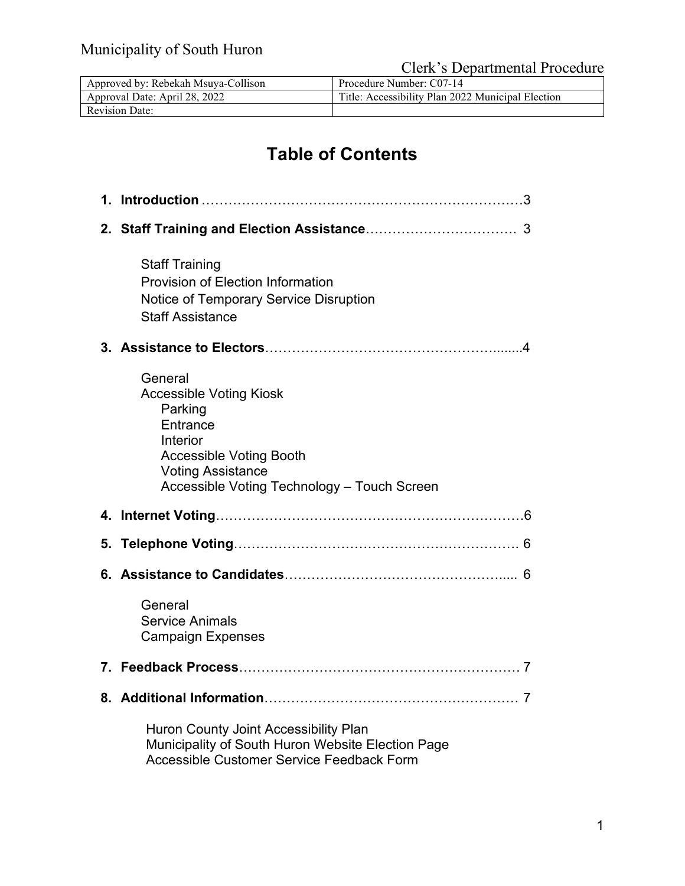Clerk's Departmental Procedure

| Approved by: Rebekah Msuya-Collison | Procedure Number: C07-14                          |
|-------------------------------------|---------------------------------------------------|
| Approval Date: April 28, 2022       | Title: Accessibility Plan 2022 Municipal Election |
| <b>Revision Date:</b>               |                                                   |

# **Table of Contents**

| <b>Staff Training</b><br>Provision of Election Information<br>Notice of Temporary Service Disruption<br><b>Staff Assistance</b>                                                           |
|-------------------------------------------------------------------------------------------------------------------------------------------------------------------------------------------|
|                                                                                                                                                                                           |
| General<br><b>Accessible Voting Kiosk</b><br>Parking<br>Entrance<br>Interior<br><b>Accessible Voting Booth</b><br><b>Voting Assistance</b><br>Accessible Voting Technology - Touch Screen |
|                                                                                                                                                                                           |
|                                                                                                                                                                                           |
|                                                                                                                                                                                           |
| General<br><b>Service Animals</b><br><b>Campaign Expenses</b>                                                                                                                             |
|                                                                                                                                                                                           |
|                                                                                                                                                                                           |
| Huron County Joint Accessibility Plan<br>Municipality of South Huron Website Election Page<br>Accessible Customer Service Feedback Form                                                   |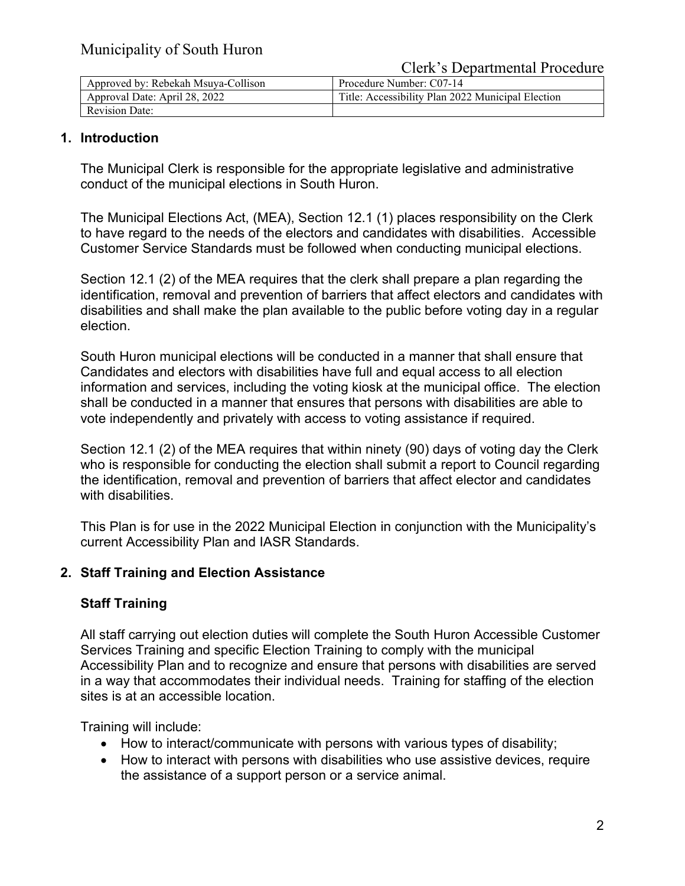Clerk's Departmental Procedure

| Approved by: Rebekah Msuya-Collison | Procedure Number: C07-14                          |
|-------------------------------------|---------------------------------------------------|
| Approval Date: April 28, 2022       | Title: Accessibility Plan 2022 Municipal Election |
| <b>Revision Date:</b>               |                                                   |

#### **1. Introduction**

The Municipal Clerk is responsible for the appropriate legislative and administrative conduct of the municipal elections in South Huron.

The Municipal Elections Act, (MEA), Section 12.1 (1) places responsibility on the Clerk to have regard to the needs of the electors and candidates with disabilities. Accessible Customer Service Standards must be followed when conducting municipal elections.

Section 12.1 (2) of the MEA requires that the clerk shall prepare a plan regarding the identification, removal and prevention of barriers that affect electors and candidates with disabilities and shall make the plan available to the public before voting day in a regular election.

South Huron municipal elections will be conducted in a manner that shall ensure that Candidates and electors with disabilities have full and equal access to all election information and services, including the voting kiosk at the municipal office. The election shall be conducted in a manner that ensures that persons with disabilities are able to vote independently and privately with access to voting assistance if required.

Section 12.1 (2) of the MEA requires that within ninety (90) days of voting day the Clerk who is responsible for conducting the election shall submit a report to Council regarding the identification, removal and prevention of barriers that affect elector and candidates with disabilities.

This Plan is for use in the 2022 Municipal Election in conjunction with the Municipality's current Accessibility Plan and IASR Standards.

## **2. Staff Training and Election Assistance**

## **Staff Training**

All staff carrying out election duties will complete the South Huron Accessible Customer Services Training and specific Election Training to comply with the municipal Accessibility Plan and to recognize and ensure that persons with disabilities are served in a way that accommodates their individual needs. Training for staffing of the election sites is at an accessible location.

Training will include:

- How to interact/communicate with persons with various types of disability;
- How to interact with persons with disabilities who use assistive devices, require the assistance of a support person or a service animal.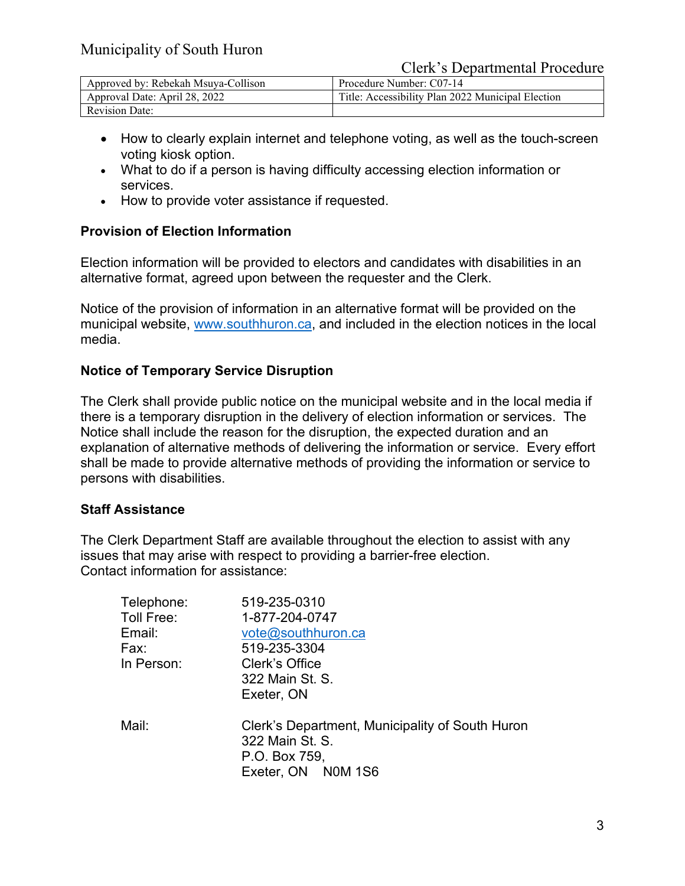Clerk's Departmental Procedure

| Approved by: Rebekah Msuya-Collison | Procedure Number: C07-14                          |
|-------------------------------------|---------------------------------------------------|
| Approval Date: April 28, 2022       | Title: Accessibility Plan 2022 Municipal Election |
| <b>Revision Date:</b>               |                                                   |

- How to clearly explain internet and telephone voting, as well as the touch-screen voting kiosk option.
- What to do if a person is having difficulty accessing election information or services.
- How to provide voter assistance if requested.

#### **Provision of Election Information**

Election information will be provided to electors and candidates with disabilities in an alternative format, agreed upon between the requester and the Clerk.

Notice of the provision of information in an alternative format will be provided on the municipal website, [www.southhuron.ca,](http://www.southhuron.ca/) and included in the election notices in the local media.

#### **Notice of Temporary Service Disruption**

The Clerk shall provide public notice on the municipal website and in the local media if there is a temporary disruption in the delivery of election information or services. The Notice shall include the reason for the disruption, the expected duration and an explanation of alternative methods of delivering the information or service. Every effort shall be made to provide alternative methods of providing the information or service to persons with disabilities.

#### **Staff Assistance**

The Clerk Department Staff are available throughout the election to assist with any issues that may arise with respect to providing a barrier-free election. Contact information for assistance:

| Clerk's Department, Municipality of South Huron |
|-------------------------------------------------|
|                                                 |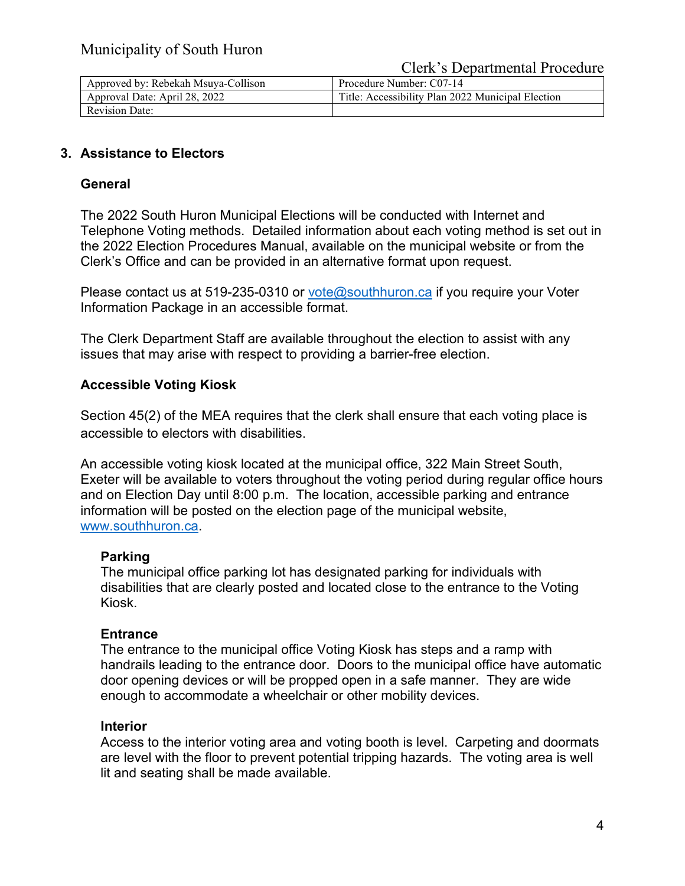| Approved by: Rebekah Msuya-Collison | Procedure Number: C07-14                          |
|-------------------------------------|---------------------------------------------------|
| Approval Date: April 28, 2022       | Title: Accessibility Plan 2022 Municipal Election |
| <b>Revision Date:</b>               |                                                   |

## **3. Assistance to Electors**

### **General**

The 2022 South Huron Municipal Elections will be conducted with Internet and Telephone Voting methods. Detailed information about each voting method is set out in the 2022 Election Procedures Manual, available on the municipal website or from the Clerk's Office and can be provided in an alternative format upon request.

Please contact us at 519-235-0310 or [vote@southhuron.ca](mailto:vote@southhuron.ca) if you require your Voter Information Package in an accessible format.

The Clerk Department Staff are available throughout the election to assist with any issues that may arise with respect to providing a barrier-free election.

## **Accessible Voting Kiosk**

Section 45(2) of the MEA requires that the clerk shall ensure that each voting place is accessible to electors with disabilities.

An accessible voting kiosk located at the municipal office, 322 Main Street South, Exeter will be available to voters throughout the voting period during regular office hours and on Election Day until 8:00 p.m. The location, accessible parking and entrance information will be posted on the election page of the municipal website, [www.southhuron.ca.](http://www.southhuron.ca/)

#### **Parking**

The municipal office parking lot has designated parking for individuals with disabilities that are clearly posted and located close to the entrance to the Voting Kiosk.

#### **Entrance**

The entrance to the municipal office Voting Kiosk has steps and a ramp with handrails leading to the entrance door. Doors to the municipal office have automatic door opening devices or will be propped open in a safe manner. They are wide enough to accommodate a wheelchair or other mobility devices.

#### **Interior**

Access to the interior voting area and voting booth is level. Carpeting and doormats are level with the floor to prevent potential tripping hazards. The voting area is well lit and seating shall be made available.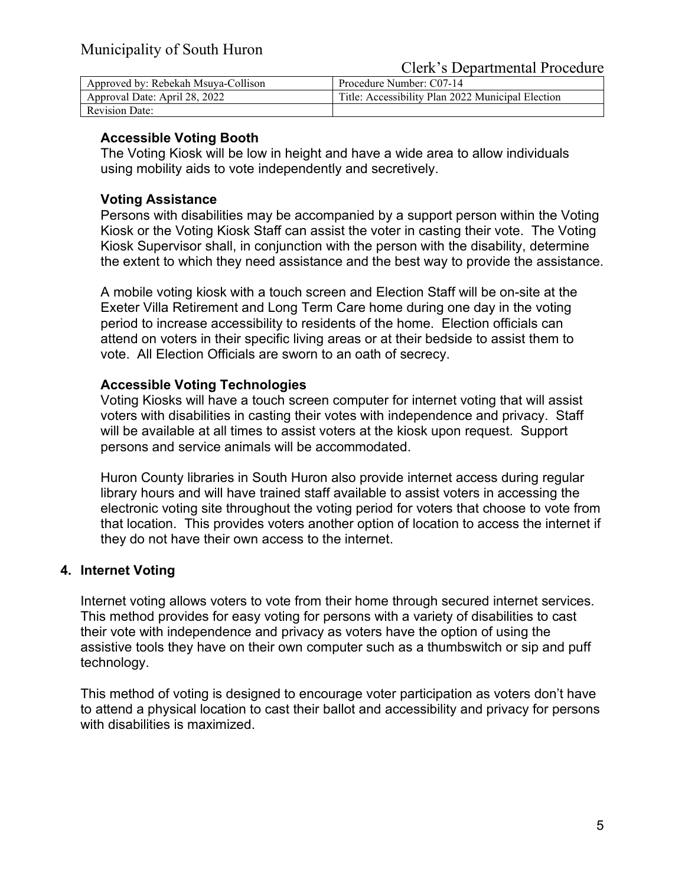Clerk's Departmental Procedure

| Approved by: Rebekah Msuya-Collison | Procedure Number: C07-14                          |
|-------------------------------------|---------------------------------------------------|
| Approval Date: April 28, 2022       | Title: Accessibility Plan 2022 Municipal Election |
| <b>Revision Date:</b>               |                                                   |

### **Accessible Voting Booth**

The Voting Kiosk will be low in height and have a wide area to allow individuals using mobility aids to vote independently and secretively.

### **Voting Assistance**

Persons with disabilities may be accompanied by a support person within the Voting Kiosk or the Voting Kiosk Staff can assist the voter in casting their vote. The Voting Kiosk Supervisor shall, in conjunction with the person with the disability, determine the extent to which they need assistance and the best way to provide the assistance.

A mobile voting kiosk with a touch screen and Election Staff will be on-site at the Exeter Villa Retirement and Long Term Care home during one day in the voting period to increase accessibility to residents of the home. Election officials can attend on voters in their specific living areas or at their bedside to assist them to vote. All Election Officials are sworn to an oath of secrecy.

## **Accessible Voting Technologies**

Voting Kiosks will have a touch screen computer for internet voting that will assist voters with disabilities in casting their votes with independence and privacy. Staff will be available at all times to assist voters at the kiosk upon request. Support persons and service animals will be accommodated.

Huron County libraries in South Huron also provide internet access during regular library hours and will have trained staff available to assist voters in accessing the electronic voting site throughout the voting period for voters that choose to vote from that location. This provides voters another option of location to access the internet if they do not have their own access to the internet.

## **4. Internet Voting**

Internet voting allows voters to vote from their home through secured internet services. This method provides for easy voting for persons with a variety of disabilities to cast their vote with independence and privacy as voters have the option of using the assistive tools they have on their own computer such as a thumbswitch or sip and puff technology.

This method of voting is designed to encourage voter participation as voters don't have to attend a physical location to cast their ballot and accessibility and privacy for persons with disabilities is maximized.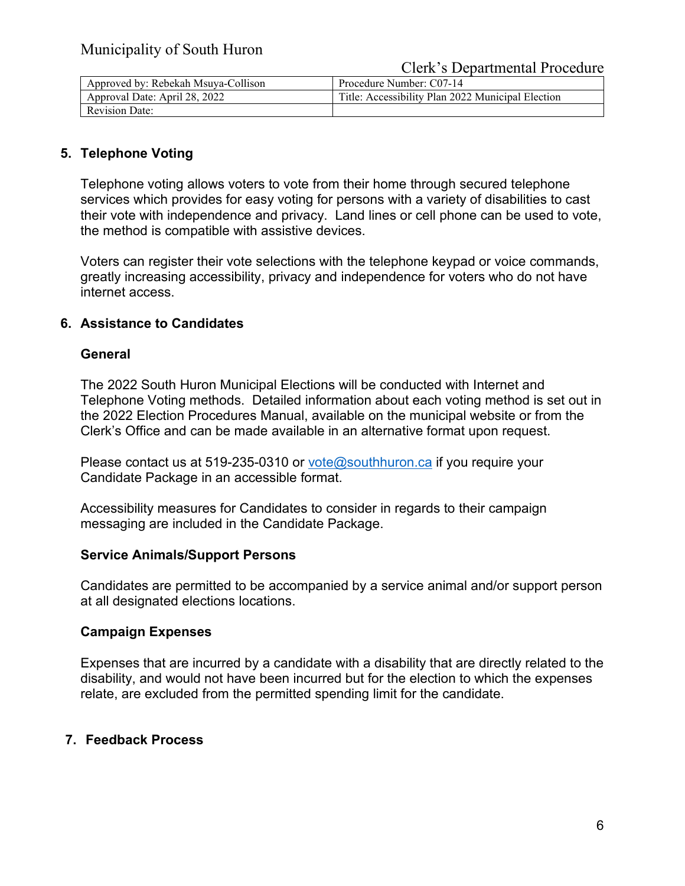#### Clerk's Departmental Procedure

| Approved by: Rebekah Msuya-Collison | Procedure Number: C07-14                          |  |
|-------------------------------------|---------------------------------------------------|--|
| Approval Date: April 28, 2022       | Title: Accessibility Plan 2022 Municipal Election |  |
| <b>Revision Date:</b>               |                                                   |  |

## **5. Telephone Voting**

Telephone voting allows voters to vote from their home through secured telephone services which provides for easy voting for persons with a variety of disabilities to cast their vote with independence and privacy. Land lines or cell phone can be used to vote, the method is compatible with assistive devices.

Voters can register their vote selections with the telephone keypad or voice commands, greatly increasing accessibility, privacy and independence for voters who do not have internet access.

#### **6. Assistance to Candidates**

#### **General**

The 2022 South Huron Municipal Elections will be conducted with Internet and Telephone Voting methods. Detailed information about each voting method is set out in the 2022 Election Procedures Manual, available on the municipal website or from the Clerk's Office and can be made available in an alternative format upon request.

Please contact us at 519-235-0310 or [vote@southhuron.ca](mailto:vote@southhuron.ca) if you require your Candidate Package in an accessible format.

Accessibility measures for Candidates to consider in regards to their campaign messaging are included in the Candidate Package.

#### **Service Animals/Support Persons**

Candidates are permitted to be accompanied by a service animal and/or support person at all designated elections locations.

#### **Campaign Expenses**

Expenses that are incurred by a candidate with a disability that are directly related to the disability, and would not have been incurred but for the election to which the expenses relate, are excluded from the permitted spending limit for the candidate.

#### **7. Feedback Process**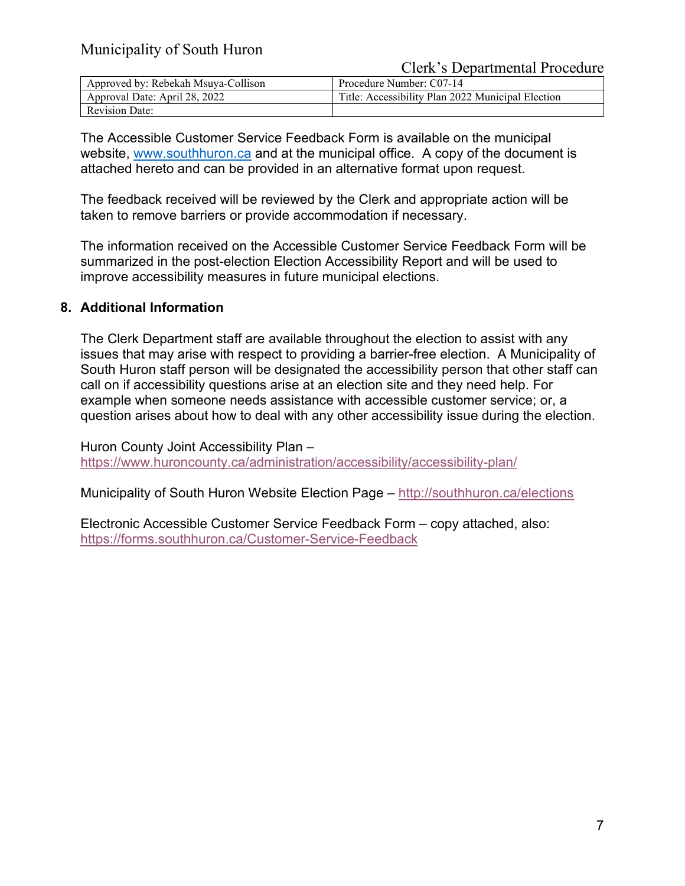Clerk's Departmental Procedure

| Approved by: Rebekah Msuya-Collison | Procedure Number: C07-14                          |
|-------------------------------------|---------------------------------------------------|
| Approval Date: April 28, 2022       | Title: Accessibility Plan 2022 Municipal Election |
| <b>Revision Date:</b>               |                                                   |

The Accessible Customer Service Feedback Form is available on the municipal website, [www.southhuron.ca](http://www.southhuron.ca/) and at the municipal office. A copy of the document is attached hereto and can be provided in an alternative format upon request.

The feedback received will be reviewed by the Clerk and appropriate action will be taken to remove barriers or provide accommodation if necessary.

The information received on the Accessible Customer Service Feedback Form will be summarized in the post-election Election Accessibility Report and will be used to improve accessibility measures in future municipal elections.

#### **8. Additional Information**

The Clerk Department staff are available throughout the election to assist with any issues that may arise with respect to providing a barrier-free election. A Municipality of South Huron staff person will be designated the accessibility person that other staff can call on if accessibility questions arise at an election site and they need help. For example when someone needs assistance with accessible customer service; or, a question arises about how to deal with any other accessibility issue during the election.

Huron County Joint Accessibility Plan – <https://www.huroncounty.ca/administration/accessibility/accessibility-plan/>

Municipality of South Huron Website Election Page – <http://southhuron.ca/elections>

Electronic Accessible Customer Service Feedback Form – copy attached, also: <https://forms.southhuron.ca/Customer-Service-Feedback>